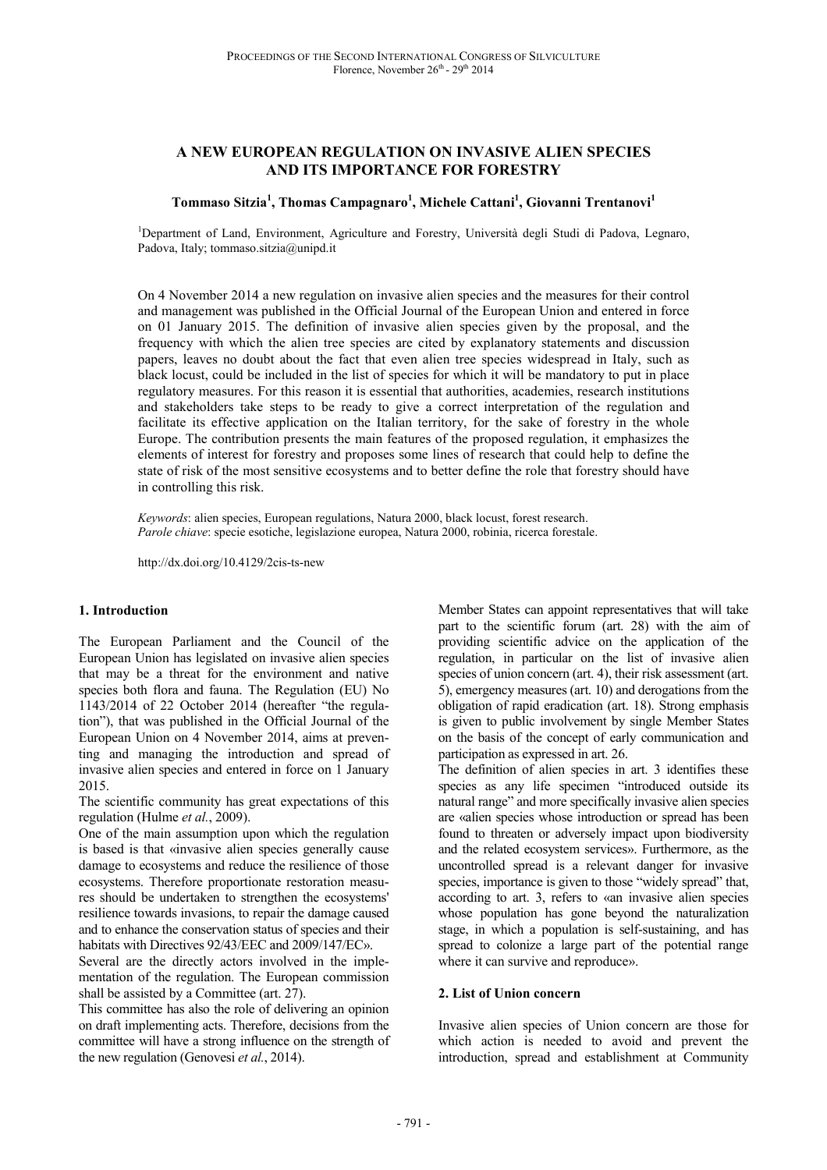# **A NEW EUROPEAN REGULATION ON INVASIVE ALIEN SPECIES AND ITS IMPORTANCE FOR FORESTRY**

### **Tommaso Sitzia<sup>1</sup> , Thomas Campagnaro<sup>1</sup> , Michele Cattani<sup>1</sup> , Giovanni Trentanovi<sup>1</sup>**

<sup>1</sup>Department of Land, Environment, Agriculture and Forestry, Università degli Studi di Padova, Legnaro, Padova, Italy; tommaso.sitzia@unipd.it

On 4 November 2014 a new regulation on invasive alien species and the measures for their control and management was published in the Official Journal of the European Union and entered in force on 01 January 2015. The definition of invasive alien species given by the proposal, and the frequency with which the alien tree species are cited by explanatory statements and discussion papers, leaves no doubt about the fact that even alien tree species widespread in Italy, such as black locust, could be included in the list of species for which it will be mandatory to put in place regulatory measures. For this reason it is essential that authorities, academies, research institutions and stakeholders take steps to be ready to give a correct interpretation of the regulation and facilitate its effective application on the Italian territory, for the sake of forestry in the whole Europe. The contribution presents the main features of the proposed regulation, it emphasizes the elements of interest for forestry and proposes some lines of research that could help to define the state of risk of the most sensitive ecosystems and to better define the role that forestry should have in controlling this risk.

*Keywords*: alien species, European regulations, Natura 2000, black locust, forest research. *Parole chiave*: specie esotiche, legislazione europea, Natura 2000, robinia, ricerca forestale.

http://dx.doi.org/10.4129/2cis-ts-new

#### **1. Introduction**

The European Parliament and the Council of the European Union has legislated on invasive alien species that may be a threat for the environment and native species both flora and fauna. The Regulation (EU) No 1143/2014 of 22 October 2014 (hereafter "the regulation"), that was published in the Official Journal of the European Union on 4 November 2014, aims at preventing and managing the introduction and spread of invasive alien species and entered in force on 1 January 2015.

The scientific community has great expectations of this regulation (Hulme *et al.*, 2009).

One of the main assumption upon which the regulation is based is that «invasive alien species generally cause damage to ecosystems and reduce the resilience of those ecosystems. Therefore proportionate restoration measures should be undertaken to strengthen the ecosystems' resilience towards invasions, to repair the damage caused and to enhance the conservation status of species and their habitats with Directives 92/43/EEC and 2009/147/EC».

Several are the directly actors involved in the implementation of the regulation. The European commission shall be assisted by a Committee (art. 27).

This committee has also the role of delivering an opinion on draft implementing acts. Therefore, decisions from the committee will have a strong influence on the strength of the new regulation (Genovesi *et al.*, 2014).

Member States can appoint representatives that will take part to the scientific forum (art. 28) with the aim of providing scientific advice on the application of the regulation, in particular on the list of invasive alien species of union concern (art. 4), their risk assessment (art. 5), emergency measures (art. 10) and derogations from the obligation of rapid eradication (art. 18). Strong emphasis is given to public involvement by single Member States on the basis of the concept of early communication and participation as expressed in art. 26.

The definition of alien species in art. 3 identifies these species as any life specimen "introduced outside its natural range" and more specifically invasive alien species are «alien species whose introduction or spread has been found to threaten or adversely impact upon biodiversity and the related ecosystem services». Furthermore, as the uncontrolled spread is a relevant danger for invasive species, importance is given to those "widely spread" that, according to art. 3, refers to «an invasive alien species whose population has gone beyond the naturalization stage, in which a population is self-sustaining, and has spread to colonize a large part of the potential range where it can survive and reproduce».

#### **2. List of Union concern**

Invasive alien species of Union concern are those for which action is needed to avoid and prevent the introduction, spread and establishment at Community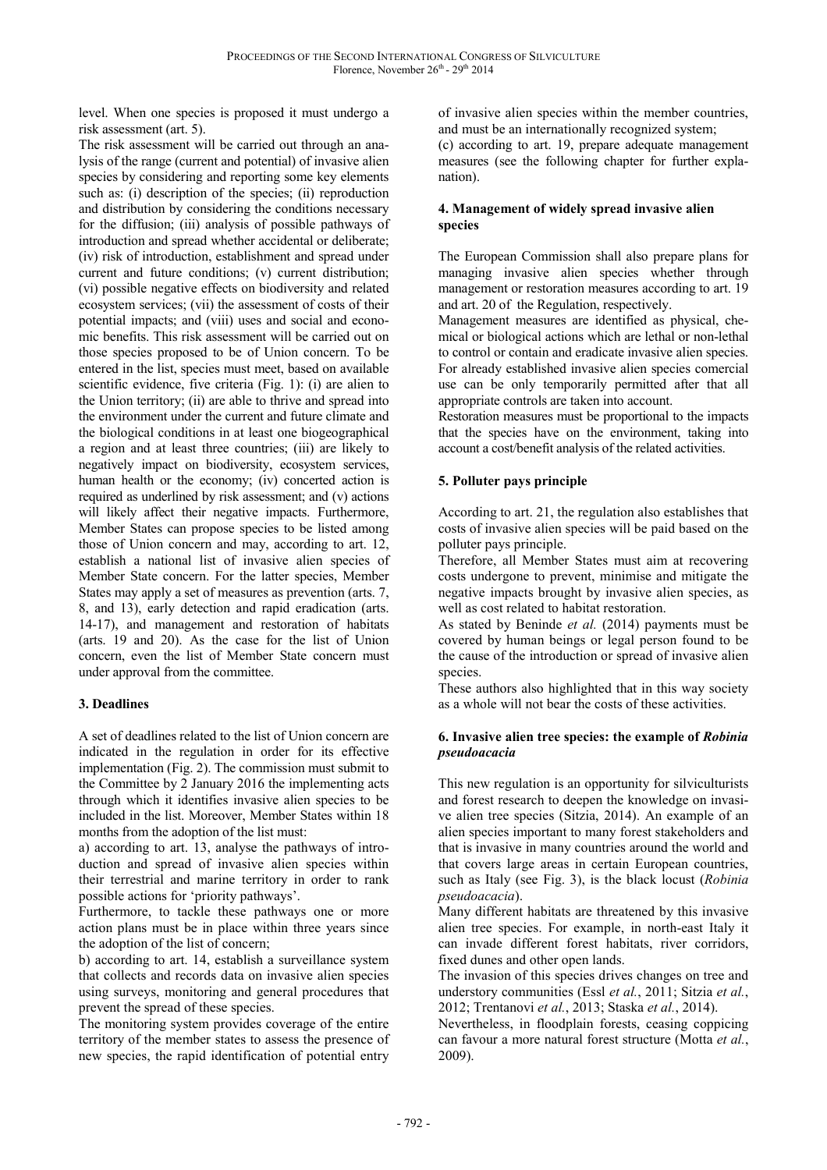level. When one species is proposed it must undergo a risk assessment (art. 5).

The risk assessment will be carried out through an analysis of the range (current and potential) of invasive alien species by considering and reporting some key elements such as: (i) description of the species; (ii) reproduction and distribution by considering the conditions necessary for the diffusion; (iii) analysis of possible pathways of introduction and spread whether accidental or deliberate; (iv) risk of introduction, establishment and spread under current and future conditions; (v) current distribution; (vi) possible negative effects on biodiversity and related ecosystem services; (vii) the assessment of costs of their potential impacts; and (viii) uses and social and economic benefits. This risk assessment will be carried out on those species proposed to be of Union concern. To be entered in the list, species must meet, based on available scientific evidence, five criteria (Fig. 1): (i) are alien to the Union territory; (ii) are able to thrive and spread into the environment under the current and future climate and the biological conditions in at least one biogeographical a region and at least three countries; (iii) are likely to negatively impact on biodiversity, ecosystem services, human health or the economy; (iv) concerted action is required as underlined by risk assessment; and (v) actions will likely affect their negative impacts. Furthermore, Member States can propose species to be listed among those of Union concern and may, according to art. 12, establish a national list of invasive alien species of Member State concern. For the latter species, Member States may apply a set of measures as prevention (arts. 7, 8, and 13), early detection and rapid eradication (arts. 14-17), and management and restoration of habitats (arts. 19 and 20). As the case for the list of Union concern, even the list of Member State concern must under approval from the committee.

# **3. Deadlines**

A set of deadlines related to the list of Union concern are indicated in the regulation in order for its effective implementation (Fig. 2). The commission must submit to the Committee by 2 January 2016 the implementing acts through which it identifies invasive alien species to be included in the list. Moreover, Member States within 18 months from the adoption of the list must:

a) according to art. 13, analyse the pathways of introduction and spread of invasive alien species within their terrestrial and marine territory in order to rank possible actions for 'priority pathways'.

Furthermore, to tackle these pathways one or more action plans must be in place within three years since the adoption of the list of concern;

b) according to art. 14, establish a surveillance system that collects and records data on invasive alien species using surveys, monitoring and general procedures that prevent the spread of these species.

The monitoring system provides coverage of the entire territory of the member states to assess the presence of new species, the rapid identification of potential entry

of invasive alien species within the member countries, and must be an internationally recognized system;

(c) according to art. 19, prepare adequate management measures (see the following chapter for further explanation).

### **4. Management of widely spread invasive alien species**

The European Commission shall also prepare plans for managing invasive alien species whether through management or restoration measures according to art. 19 and art. 20 of the Regulation, respectively.

Management measures are identified as physical, chemical or biological actions which are lethal or non-lethal to control or contain and eradicate invasive alien species. For already established invasive alien species comercial use can be only temporarily permitted after that all appropriate controls are taken into account.

Restoration measures must be proportional to the impacts that the species have on the environment, taking into account a cost/benefit analysis of the related activities.

# **5. Polluter pays principle**

According to art. 21, the regulation also establishes that costs of invasive alien species will be paid based on the polluter pays principle.

Therefore, all Member States must aim at recovering costs undergone to prevent, minimise and mitigate the negative impacts brought by invasive alien species, as well as cost related to habitat restoration.

As stated by Beninde *et al.* (2014) payments must be covered by human beings or legal person found to be the cause of the introduction or spread of invasive alien species.

These authors also highlighted that in this way society as a whole will not bear the costs of these activities.

### **6. Invasive alien tree species: the example of** *Robinia pseudoacacia*

This new regulation is an opportunity for silviculturists and forest research to deepen the knowledge on invasive alien tree species (Sitzia, 2014). An example of an alien species important to many forest stakeholders and that is invasive in many countries around the world and that covers large areas in certain European countries, such as Italy (see Fig. 3), is the black locust (*Robinia pseudoacacia*).

Many different habitats are threatened by this invasive alien tree species. For example, in north-east Italy it can invade different forest habitats, river corridors, fixed dunes and other open lands.

The invasion of this species drives changes on tree and understory communities (Essl *et al.*, 2011; Sitzia *et al.*, 2012; Trentanovi *et al.*, 2013; Staska *et al.*, 2014).

Nevertheless, in floodplain forests, ceasing coppicing can favour a more natural forest structure (Motta *et al.*, 2009).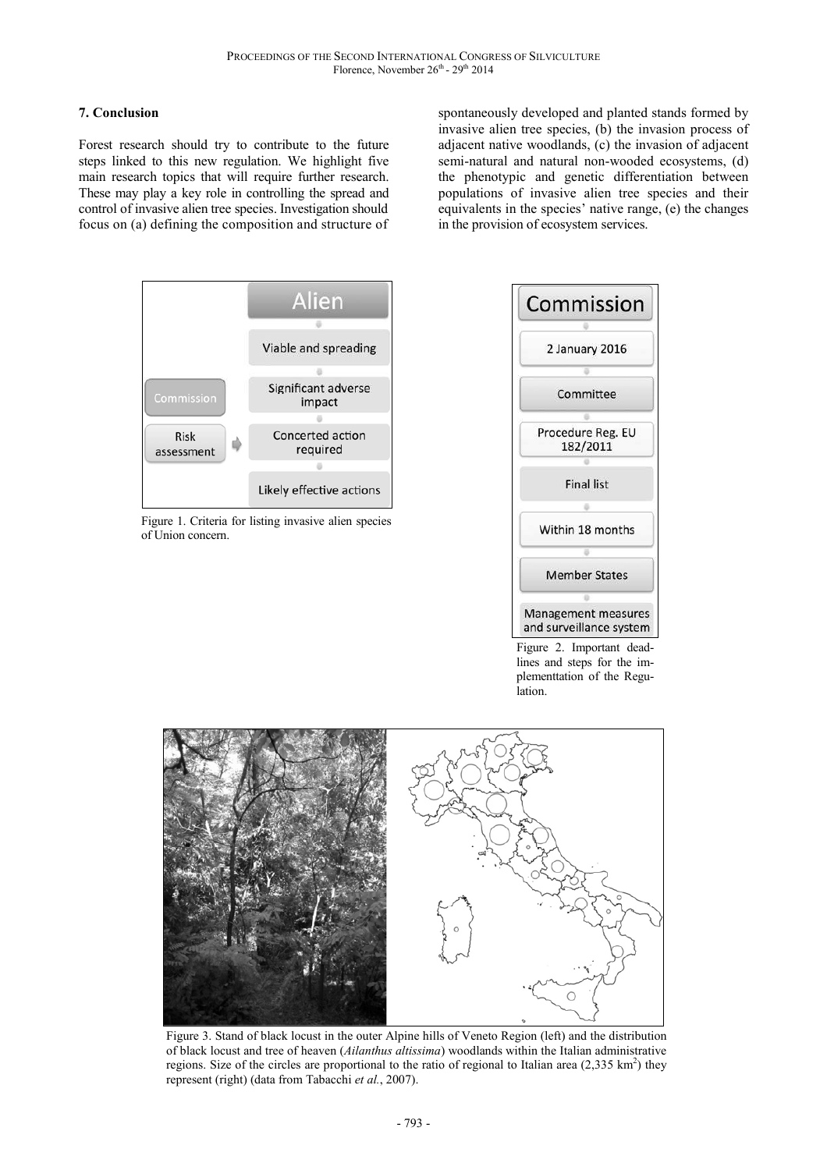# **7. Conclusion**

Forest research should try to contribute to the future steps linked to this new regulation. We highlight five main research topics that will require further research. These may play a key role in controlling the spread and control of invasive alien tree species. Investigation should focus on (a) defining the composition and structure of

spontaneously developed and planted stands formed by invasive alien tree species, (b) the invasion process of adjacent native woodlands, (c) the invasion of adjacent semi-natural and natural non-wooded ecosystems, (d) the phenotypic and genetic differentiation between populations of invasive alien tree species and their equivalents in the species' native range, (e) the changes in the provision of ecosystem services.



Figure 1. Criteria for listing invasive alien species of Union concern.



Figure 2. Important deadlines and steps for the implementtation of the Regulation.



Figure 3. Stand of black locust in the outer Alpine hills of Veneto Region (left) and the distribution of black locust and tree of heaven (*Ailanthus altissima*) woodlands within the Italian administrative regions. Size of the circles are proportional to the ratio of regional to Italian area  $(2,335 \text{ km}^2)$  they represent (right) (data from Tabacchi *et al.*, 2007).